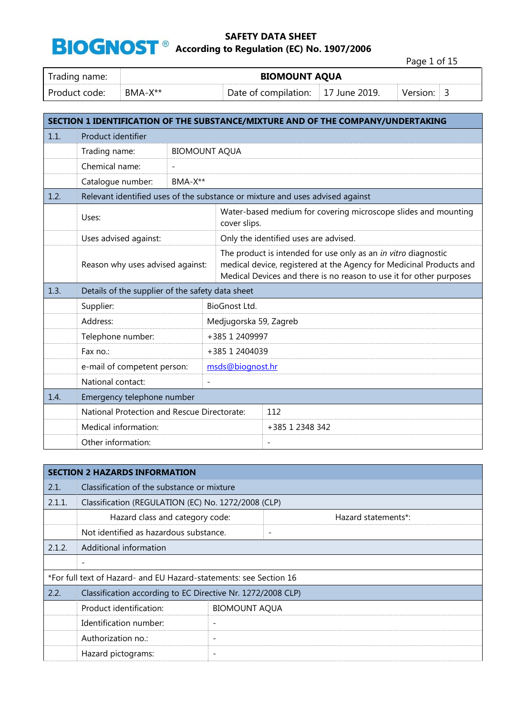Page 1 of 15

| Trading name:     | <b>BIOMOUNT AQUA</b> |                                                   |  |          |  |
|-------------------|----------------------|---------------------------------------------------|--|----------|--|
| - Product code: - | $BMA-X^{**}$         | $\overline{ }$ Date of compilation: 17 June 2019. |  | Version: |  |

|      | SECTION 1 IDENTIFICATION OF THE SUBSTANCE/MIXTURE AND OF THE COMPANY/UNDERTAKING |                                                                                                                                                                                                              |                        |                                                                               |  |  |
|------|----------------------------------------------------------------------------------|--------------------------------------------------------------------------------------------------------------------------------------------------------------------------------------------------------------|------------------------|-------------------------------------------------------------------------------|--|--|
| 1.1. | Product identifier                                                               |                                                                                                                                                                                                              |                        |                                                                               |  |  |
|      | Trading name:                                                                    |                                                                                                                                                                                                              | <b>BIOMOUNT AQUA</b>   |                                                                               |  |  |
|      | Chemical name:                                                                   | $\overline{\phantom{a}}$                                                                                                                                                                                     |                        |                                                                               |  |  |
|      | Catalogue number:                                                                | BMA-X**                                                                                                                                                                                                      |                        |                                                                               |  |  |
| 1.2. |                                                                                  |                                                                                                                                                                                                              |                        | Relevant identified uses of the substance or mixture and uses advised against |  |  |
|      | Uses:                                                                            |                                                                                                                                                                                                              | cover slips.           | Water-based medium for covering microscope slides and mounting                |  |  |
|      | Uses advised against:                                                            |                                                                                                                                                                                                              |                        | Only the identified uses are advised.                                         |  |  |
|      | Reason why uses advised against:                                                 | The product is intended for use only as an in vitro diagnostic<br>medical device, registered at the Agency for Medicinal Products and<br>Medical Devices and there is no reason to use it for other purposes |                        |                                                                               |  |  |
| 1.3. | Details of the supplier of the safety data sheet                                 |                                                                                                                                                                                                              |                        |                                                                               |  |  |
|      |                                                                                  |                                                                                                                                                                                                              |                        |                                                                               |  |  |
|      | Supplier:                                                                        |                                                                                                                                                                                                              | BioGnost Ltd.          |                                                                               |  |  |
|      | Address:                                                                         |                                                                                                                                                                                                              | Medjugorska 59, Zagreb |                                                                               |  |  |
|      | Telephone number:                                                                |                                                                                                                                                                                                              | +385 1 2409997         |                                                                               |  |  |
|      | Fax no.:                                                                         |                                                                                                                                                                                                              | +385 1 2404039         |                                                                               |  |  |
|      | e-mail of competent person:                                                      |                                                                                                                                                                                                              | msds@biognost.hr       |                                                                               |  |  |
|      | National contact:                                                                |                                                                                                                                                                                                              |                        |                                                                               |  |  |
| 1.4. | Emergency telephone number                                                       |                                                                                                                                                                                                              |                        |                                                                               |  |  |
|      | National Protection and Rescue Directorate:                                      |                                                                                                                                                                                                              |                        | 112                                                                           |  |  |
|      | Medical information:                                                             |                                                                                                                                                                                                              |                        | +385 1 2348 342                                                               |  |  |

|        | <b>SECTION 2 HAZARDS INFORMATION</b>                               |                          |                          |                     |  |
|--------|--------------------------------------------------------------------|--------------------------|--------------------------|---------------------|--|
| 2.1.   | Classification of the substance or mixture                         |                          |                          |                     |  |
| 2.1.1. | Classification (REGULATION (EC) No. 1272/2008 (CLP)                |                          |                          |                     |  |
|        | Hazard class and category code:                                    |                          |                          | Hazard statements*: |  |
|        | Not identified as hazardous substance.                             |                          | $\overline{\phantom{a}}$ |                     |  |
| 2.1.2. | Additional information                                             |                          |                          |                     |  |
|        | $\overline{\phantom{a}}$                                           |                          |                          |                     |  |
|        | *For full text of Hazard- and EU Hazard-statements: see Section 16 |                          |                          |                     |  |
| 2.2.   | Classification according to EC Directive Nr. 1272/2008 CLP)        |                          |                          |                     |  |
|        | Product identification:                                            | <b>BIOMOUNT AQUA</b>     |                          |                     |  |
|        | Identification number:                                             | $\qquad \qquad$          |                          |                     |  |
|        | Authorization no.:                                                 | $\qquad \qquad$          |                          |                     |  |
|        | Hazard pictograms:                                                 | $\overline{\phantom{a}}$ |                          |                     |  |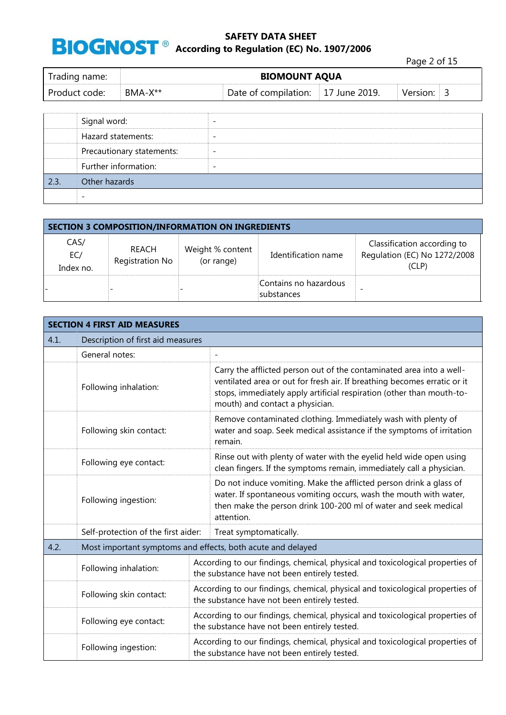**8 According to Regulation (EC) No. 1907/2006** 

Page 2 of 15

| Trading name: | <b>BIOMOUNT AQUA</b> |                                    |  |          |
|---------------|----------------------|------------------------------------|--|----------|
| Product code: | BMA-X**              | Date of compilation: 17 June 2019. |  | Version: |

|      | Signal word:              |  |
|------|---------------------------|--|
|      | Hazard statements:        |  |
|      | Precautionary statements: |  |
|      | Further information:      |  |
| 2.3. | Other hazards             |  |
|      |                           |  |

|                          |                          | <b>SECTION 3 COMPOSITION/INFORMATION ON INGREDIENTS</b> |                                     |                                                                      |
|--------------------------|--------------------------|---------------------------------------------------------|-------------------------------------|----------------------------------------------------------------------|
| CAS/<br>EC/<br>Index no. | REACH<br>Registration No | Weight % content<br>(or range)                          | Identification name                 | Classification according to<br>Regulation (EC) No 1272/2008<br>(CLP) |
|                          |                          |                                                         | Contains no hazardous<br>substances |                                                                      |

|      | <b>SECTION 4 FIRST AID MEASURES</b> |                                                                                                                               |                                                                                                                                                                                                                                                              |  |  |
|------|-------------------------------------|-------------------------------------------------------------------------------------------------------------------------------|--------------------------------------------------------------------------------------------------------------------------------------------------------------------------------------------------------------------------------------------------------------|--|--|
| 4.1. | Description of first aid measures   |                                                                                                                               |                                                                                                                                                                                                                                                              |  |  |
|      | General notes:                      |                                                                                                                               |                                                                                                                                                                                                                                                              |  |  |
|      | Following inhalation:               |                                                                                                                               | Carry the afflicted person out of the contaminated area into a well-<br>ventilated area or out for fresh air. If breathing becomes erratic or it<br>stops, immediately apply artificial respiration (other than mouth-to-<br>mouth) and contact a physician. |  |  |
|      | Following skin contact:             |                                                                                                                               | Remove contaminated clothing. Immediately wash with plenty of<br>water and soap. Seek medical assistance if the symptoms of irritation<br>remain.                                                                                                            |  |  |
|      | Following eye contact:              |                                                                                                                               | Rinse out with plenty of water with the eyelid held wide open using<br>clean fingers. If the symptoms remain, immediately call a physician.                                                                                                                  |  |  |
|      | Following ingestion:                |                                                                                                                               | Do not induce vomiting. Make the afflicted person drink a glass of<br>water. If spontaneous vomiting occurs, wash the mouth with water,<br>then make the person drink 100-200 ml of water and seek medical<br>attention.                                     |  |  |
|      | Self-protection of the first aider: | Treat symptomatically.                                                                                                        |                                                                                                                                                                                                                                                              |  |  |
| 4.2. |                                     |                                                                                                                               | Most important symptoms and effects, both acute and delayed                                                                                                                                                                                                  |  |  |
|      | Following inhalation:               | According to our findings, chemical, physical and toxicological properties of<br>the substance have not been entirely tested. |                                                                                                                                                                                                                                                              |  |  |
|      | Following skin contact:             | According to our findings, chemical, physical and toxicological properties of<br>the substance have not been entirely tested. |                                                                                                                                                                                                                                                              |  |  |
|      | Following eye contact:              | According to our findings, chemical, physical and toxicological properties of<br>the substance have not been entirely tested. |                                                                                                                                                                                                                                                              |  |  |
|      | Following ingestion:                |                                                                                                                               | According to our findings, chemical, physical and toxicological properties of<br>the substance have not been entirely tested.                                                                                                                                |  |  |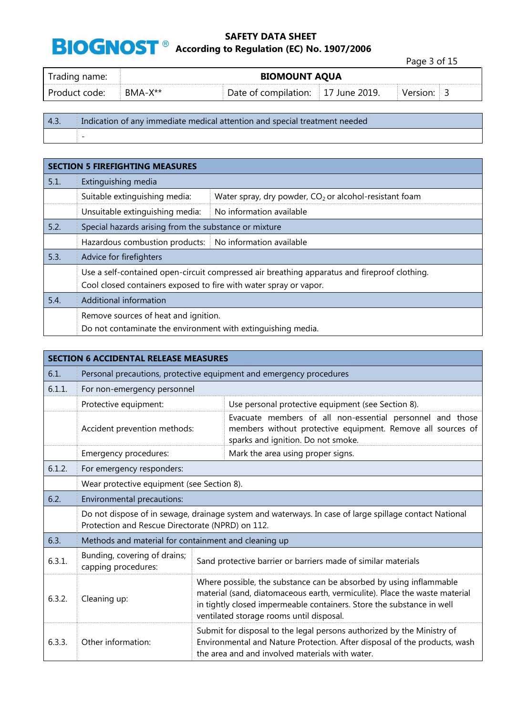**8 According to Regulation (EC) No. 1907/2006** 

|                 |           |                                    | Page 3 of 15 |
|-----------------|-----------|------------------------------------|--------------|
| Trading name:   |           | <b>BIOMOUNT AQUA</b>               |              |
| l Product code: | $BMA-X**$ | Date of compilation: 17 June 2019. | Version:     |

4.3. Indication of any immediate medical attention and special treatment needed -

|      | <b>SECTION 5 FIREFIGHTING MEASURES</b>                            |                                                                                              |  |  |  |
|------|-------------------------------------------------------------------|----------------------------------------------------------------------------------------------|--|--|--|
| 5.1. | Extinguishing media                                               |                                                                                              |  |  |  |
|      | Suitable extinguishing media:                                     | Water spray, dry powder, $CO2$ or alcohol-resistant foam                                     |  |  |  |
|      | Unsuitable extinguishing media:                                   | No information available                                                                     |  |  |  |
| 5.2. | Special hazards arising from the substance or mixture             |                                                                                              |  |  |  |
|      | Hazardous combustion products: No information available           |                                                                                              |  |  |  |
| 5.3. | Advice for firefighters                                           |                                                                                              |  |  |  |
|      |                                                                   | Use a self-contained open-circuit compressed air breathing apparatus and fireproof clothing. |  |  |  |
|      | Cool closed containers exposed to fire with water spray or vapor. |                                                                                              |  |  |  |
| 5.4. | Additional information                                            |                                                                                              |  |  |  |
|      | Remove sources of heat and ignition.                              |                                                                                              |  |  |  |
|      | Do not contaminate the environment with extinguishing media.      |                                                                                              |  |  |  |

|        | <b>SECTION 6 ACCIDENTAL RELEASE MEASURES</b>                                                                                                               |                                                                                                                                                                                                                                                                       |  |  |  |
|--------|------------------------------------------------------------------------------------------------------------------------------------------------------------|-----------------------------------------------------------------------------------------------------------------------------------------------------------------------------------------------------------------------------------------------------------------------|--|--|--|
| 6.1.   | Personal precautions, protective equipment and emergency procedures                                                                                        |                                                                                                                                                                                                                                                                       |  |  |  |
| 6.1.1. | For non-emergency personnel                                                                                                                                |                                                                                                                                                                                                                                                                       |  |  |  |
|        | Protective equipment:                                                                                                                                      | Use personal protective equipment (see Section 8).                                                                                                                                                                                                                    |  |  |  |
|        | Accident prevention methods:                                                                                                                               | Evacuate members of all non-essential personnel and those<br>members without protective equipment. Remove all sources of<br>sparks and ignition. Do not smoke.                                                                                                        |  |  |  |
|        | Emergency procedures:                                                                                                                                      | Mark the area using proper signs.                                                                                                                                                                                                                                     |  |  |  |
| 6.1.2. | For emergency responders:                                                                                                                                  |                                                                                                                                                                                                                                                                       |  |  |  |
|        | Wear protective equipment (see Section 8).                                                                                                                 |                                                                                                                                                                                                                                                                       |  |  |  |
| 6.2.   | Environmental precautions:                                                                                                                                 |                                                                                                                                                                                                                                                                       |  |  |  |
|        | Do not dispose of in sewage, drainage system and waterways. In case of large spillage contact National<br>Protection and Rescue Directorate (NPRD) on 112. |                                                                                                                                                                                                                                                                       |  |  |  |
| 6.3.   | Methods and material for containment and cleaning up                                                                                                       |                                                                                                                                                                                                                                                                       |  |  |  |
| 6.3.1. | Bunding, covering of drains;<br>capping procedures:                                                                                                        | Sand protective barrier or barriers made of similar materials                                                                                                                                                                                                         |  |  |  |
| 6.3.2. | Cleaning up:                                                                                                                                               | Where possible, the substance can be absorbed by using inflammable<br>material (sand, diatomaceous earth, vermiculite). Place the waste material<br>in tightly closed impermeable containers. Store the substance in well<br>ventilated storage rooms until disposal. |  |  |  |
| 6.3.3. | Other information:                                                                                                                                         | Submit for disposal to the legal persons authorized by the Ministry of<br>Environmental and Nature Protection. After disposal of the products, wash<br>the area and and involved materials with water.                                                                |  |  |  |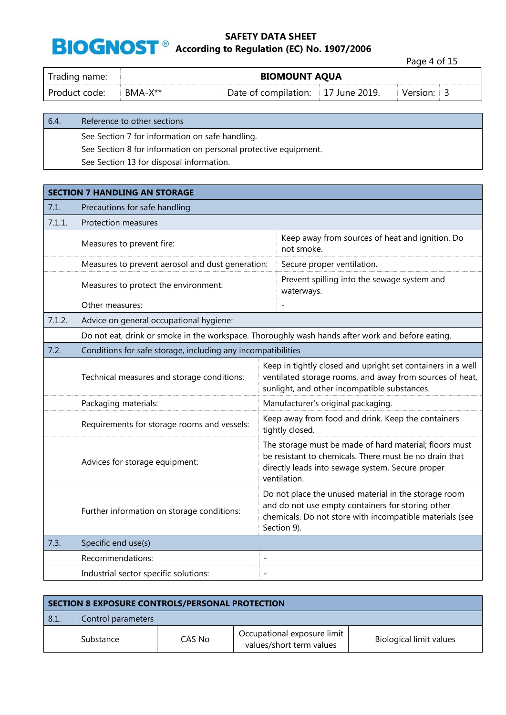**8 According to Regulation (EC) No. 1907/2006** 

Page 4 of 15

| Trading name: | <b>BIOMOUNT AQUA</b> |                                    |  |          |
|---------------|----------------------|------------------------------------|--|----------|
| Product code: | BMA-X**              | Date of compilation: 17 June 2019. |  | Version: |

| 6.4. | Reference to other sections                                     |
|------|-----------------------------------------------------------------|
|      | See Section 7 for information on safe handling.                 |
|      | See Section 8 for information on personal protective equipment. |
|      | See Section 13 for disposal information.                        |

|        | <b>SECTION 7 HANDLING AN STORAGE</b>                                                             |                                                                                                                                                                                      |  |  |  |
|--------|--------------------------------------------------------------------------------------------------|--------------------------------------------------------------------------------------------------------------------------------------------------------------------------------------|--|--|--|
| 7.1.   | Precautions for safe handling                                                                    |                                                                                                                                                                                      |  |  |  |
| 7.1.1. | Protection measures                                                                              |                                                                                                                                                                                      |  |  |  |
|        | Measures to prevent fire:                                                                        | Keep away from sources of heat and ignition. Do<br>not smoke.                                                                                                                        |  |  |  |
|        | Measures to prevent aerosol and dust generation:                                                 | Secure proper ventilation.                                                                                                                                                           |  |  |  |
|        | Measures to protect the environment:                                                             | Prevent spilling into the sewage system and<br>waterways.                                                                                                                            |  |  |  |
|        | Other measures:                                                                                  |                                                                                                                                                                                      |  |  |  |
| 7.1.2. | Advice on general occupational hygiene:                                                          |                                                                                                                                                                                      |  |  |  |
|        | Do not eat, drink or smoke in the workspace. Thoroughly wash hands after work and before eating. |                                                                                                                                                                                      |  |  |  |
| 7.2.   | Conditions for safe storage, including any incompatibilities                                     |                                                                                                                                                                                      |  |  |  |
|        | Technical measures and storage conditions:                                                       | Keep in tightly closed and upright set containers in a well<br>ventilated storage rooms, and away from sources of heat,<br>sunlight, and other incompatible substances.              |  |  |  |
|        | Packaging materials:                                                                             | Manufacturer's original packaging.                                                                                                                                                   |  |  |  |
|        | Requirements for storage rooms and vessels:                                                      | Keep away from food and drink. Keep the containers<br>tightly closed.                                                                                                                |  |  |  |
|        | Advices for storage equipment:                                                                   | The storage must be made of hard material; floors must<br>be resistant to chemicals. There must be no drain that<br>directly leads into sewage system. Secure proper<br>ventilation. |  |  |  |
|        | Further information on storage conditions:                                                       | Do not place the unused material in the storage room<br>and do not use empty containers for storing other<br>chemicals. Do not store with incompatible materials (see<br>Section 9). |  |  |  |
| 7.3.   | Specific end use(s)                                                                              |                                                                                                                                                                                      |  |  |  |
|        | Recommendations:                                                                                 | $\overline{\phantom{0}}$                                                                                                                                                             |  |  |  |
|        | Industrial sector specific solutions:                                                            | $\overline{\phantom{a}}$                                                                                                                                                             |  |  |  |

| SECTION 8 EXPOSURE CONTROLS/PERSONAL PROTECTION |                    |        |                                                         |                                |  |
|-------------------------------------------------|--------------------|--------|---------------------------------------------------------|--------------------------------|--|
| 8.1.                                            | Control parameters |        |                                                         |                                |  |
|                                                 | Substance          | CAS No | Occupational exposure limit<br>values/short term values | <b>Biological limit values</b> |  |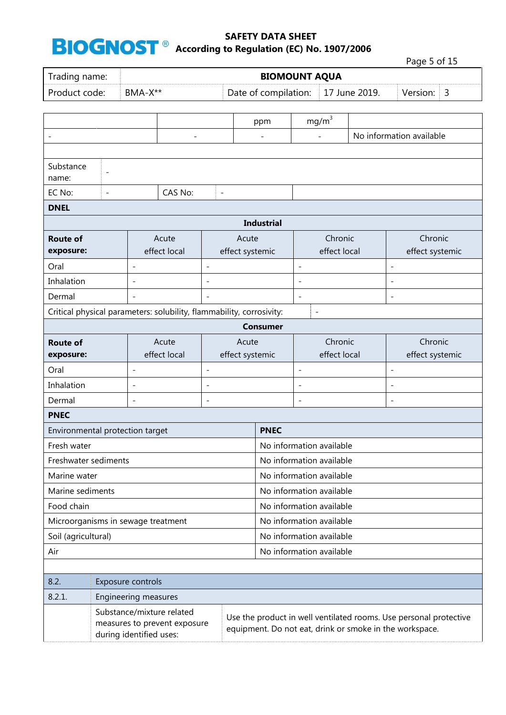during identified uses:

### **SAFETY DATA SHEET BIOGNOST**<sup>®</sup> According to Regulation (EC) No. 1907/2006

Page 5 of 15 Trading name: **BIOMOUNT AQUA** Product code: BMA-X<sup>\*\*</sup> Date of compilation: 17 June 2019. Version: 3 ppm  $\vert$  mg/m<sup>3</sup> - - - - No information available Substance name: -  $EC No:$   $-CAS No:$   $-CAS No:$ **DNEL Industrial Route of exposure:** Acute effect local Acute effect systemic Chronic effect local Chronic effect systemic Oral - - - - Inhalation - - - - Dermal - - - - Critical physical parameters: solubility, flammability, corrosivity: - **Consumer Route of exposure:** Acute effect local Acute effect systemic Chronic effect local Chronic effect systemic Oral - - - - Inhalation - - - - Dermal - - - - **PNEC** Environmental protection target **PNEC** Fresh water No information available Freshwater sediments  $\Box$  No information available Marine water Note as a set of the set of the Marine wailable in the Marine wailable Marine sediments  $\Box$  No information available Food chain **No information available** Microorganisms in sewage treatment No information available Soil (agricultural) Soil (agricultural) No information available Air **No. 1999 Air** No. 1999 **No. 1999 No. 1999 No. 1999 No. 1999 No. 1999 No. 1999 No. 1999 No. 1999 No. 1999 No. 1999 No. 1999 No. 1999 No. 1999 No. 1999 No. 1999 No. 1999 No. 1999 No.** 8.2. Exposure controls 8.2.1. Engineering measures Substance/mixture related measures to prevent exposure Use the product in well ventilated rooms. Use personal protective equipment. Do not eat, drink or smoke in the workspace.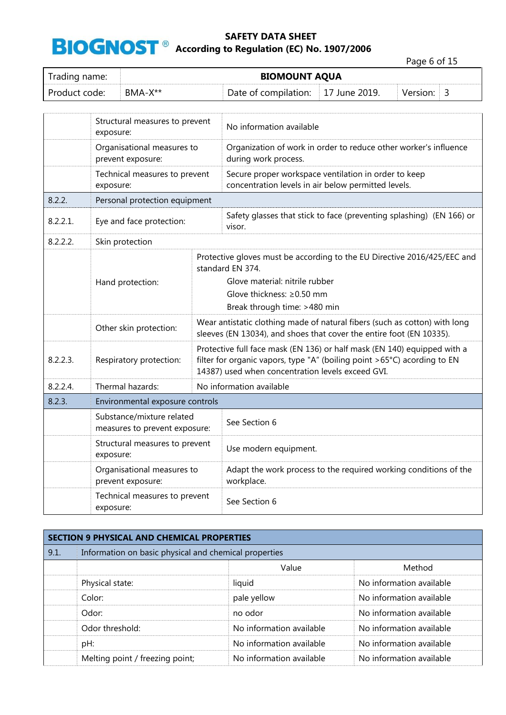**8 According to Regulation (EC) No. 1907/2006** 

Page 6 of 15

| Trading name: | <b>BIOMOUNT AQUA</b> |                                    |  |            |  |  |  |
|---------------|----------------------|------------------------------------|--|------------|--|--|--|
| Product code: | $BMA-X**$            | Date of compilation: 17 June 2019. |  | Version: 3 |  |  |  |

|          | Structural measures to prevent<br>exposure:                |  | No information available                                                                                                                                                                                  |  |  |
|----------|------------------------------------------------------------|--|-----------------------------------------------------------------------------------------------------------------------------------------------------------------------------------------------------------|--|--|
|          | Organisational measures to<br>prevent exposure:            |  | Organization of work in order to reduce other worker's influence<br>during work process.                                                                                                                  |  |  |
|          | Technical measures to prevent<br>exposure:                 |  | Secure proper workspace ventilation in order to keep<br>concentration levels in air below permitted levels.                                                                                               |  |  |
| 8.2.2.   | Personal protection equipment                              |  |                                                                                                                                                                                                           |  |  |
| 8.2.2.1. | Eye and face protection:                                   |  | Safety glasses that stick to face (preventing splashing) (EN 166) or<br>visor.                                                                                                                            |  |  |
| 8.2.2.2. | Skin protection                                            |  |                                                                                                                                                                                                           |  |  |
|          |                                                            |  | Protective gloves must be according to the EU Directive 2016/425/EEC and<br>standard EN 374.                                                                                                              |  |  |
|          | Hand protection:                                           |  | Glove material: nitrile rubber                                                                                                                                                                            |  |  |
|          |                                                            |  | Glove thickness: ≥0.50 mm                                                                                                                                                                                 |  |  |
|          |                                                            |  | Break through time: >480 min                                                                                                                                                                              |  |  |
|          | Other skin protection:                                     |  | Wear antistatic clothing made of natural fibers (such as cotton) with long<br>sleeves (EN 13034), and shoes that cover the entire foot (EN 10335).                                                        |  |  |
| 8.2.2.3. | Respiratory protection:                                    |  | Protective full face mask (EN 136) or half mask (EN 140) equipped with a<br>filter for organic vapors, type "A" (boiling point >65°C) acording to EN<br>14387) used when concentration levels exceed GVI. |  |  |
| 8.2.2.4. | Thermal hazards:                                           |  | No information available                                                                                                                                                                                  |  |  |
| 8.2.3.   | Environmental exposure controls                            |  |                                                                                                                                                                                                           |  |  |
|          | Substance/mixture related<br>measures to prevent exposure: |  | See Section 6                                                                                                                                                                                             |  |  |
|          | Structural measures to prevent<br>exposure:                |  | Use modern equipment.                                                                                                                                                                                     |  |  |
|          | Organisational measures to<br>prevent exposure:            |  | Adapt the work process to the required working conditions of the<br>workplace.                                                                                                                            |  |  |
|          | Technical measures to prevent<br>exposure:                 |  | See Section 6                                                                                                                                                                                             |  |  |

| <b>SECTION 9 PHYSICAL AND CHEMICAL PROPERTIES</b> |                                                       |                          |                          |  |  |
|---------------------------------------------------|-------------------------------------------------------|--------------------------|--------------------------|--|--|
| 9.1.                                              | Information on basic physical and chemical properties |                          |                          |  |  |
|                                                   |                                                       | Value                    | Method                   |  |  |
|                                                   | Physical state:                                       | liquid                   | No information available |  |  |
|                                                   | Color:                                                | pale yellow              | No information available |  |  |
|                                                   | Odor:                                                 | no odor                  | No information available |  |  |
|                                                   | Odor threshold:                                       | No information available | No information available |  |  |
|                                                   | pH:                                                   | No information available | No information available |  |  |
|                                                   | Melting point / freezing point;                       | No information available | No information available |  |  |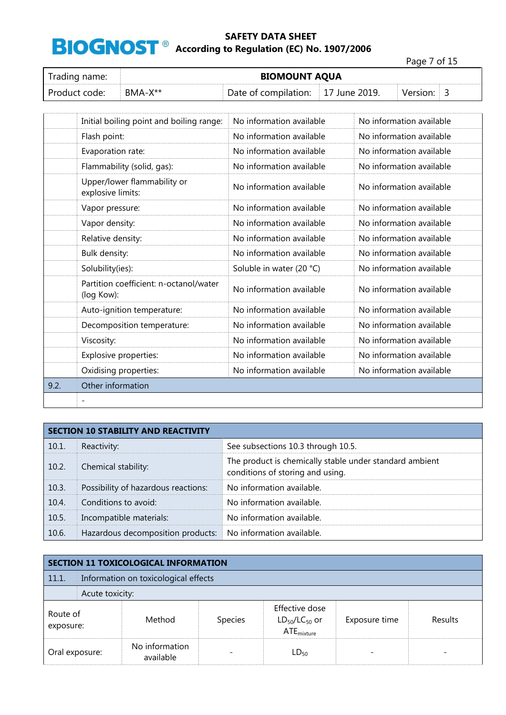**BIOGNOST**<sup>®</sup> According to Regulation (EC) No. 1907/2006

Page 7 of 15 Trading name: **BIOMOUNT AQUA** Product code: BMA-X<sup>\*\*</sup> Date of compilation: 17 June 2019. Version: 3

|      | Initial boiling point and boiling range:             | No information available | No information available |
|------|------------------------------------------------------|--------------------------|--------------------------|
|      | Flash point:                                         | No information available | No information available |
|      | Evaporation rate:                                    | No information available | No information available |
|      | Flammability (solid, gas):                           | No information available | No information available |
|      | Upper/lower flammability or<br>explosive limits:     | No information available | No information available |
|      | Vapor pressure:                                      | No information available | No information available |
|      | Vapor density:                                       | No information available | No information available |
|      | Relative density:                                    | No information available | No information available |
|      | Bulk density:                                        | No information available | No information available |
|      | Solubility(ies):                                     | Soluble in water (20 °C) | No information available |
|      | Partition coefficient: n-octanol/water<br>(log Kow): | No information available | No information available |
|      | Auto-ignition temperature:                           | No information available | No information available |
|      | Decomposition temperature:                           | No information available | No information available |
|      | Viscosity:                                           | No information available | No information available |
|      | Explosive properties:                                | No information available | No information available |
|      | Oxidising properties:                                | No information available | No information available |
| 9.2. | Other information                                    |                          |                          |
|      |                                                      |                          |                          |

|       | <b>SECTION 10 STABILITY AND REACTIVITY</b> |                                                                                             |  |  |
|-------|--------------------------------------------|---------------------------------------------------------------------------------------------|--|--|
| 10.1. | Reactivity:                                | See subsections 10.3 through 10.5.                                                          |  |  |
| 10.2. | Chemical stability:                        | The product is chemically stable under standard ambient<br>conditions of storing and using. |  |  |
| 10.3. | Possibility of hazardous reactions:        | No information available.                                                                   |  |  |
| 10.4. | Conditions to avoid:                       | No information available.                                                                   |  |  |
| 10.5. | Incompatible materials:                    | No information available.                                                                   |  |  |
| 10.6. | Hazardous decomposition products:          | No information available.                                                                   |  |  |

| <b>SECTION 11 TOXICOLOGICAL INFORMATION</b> |                                      |                             |                |                                                           |               |                |  |
|---------------------------------------------|--------------------------------------|-----------------------------|----------------|-----------------------------------------------------------|---------------|----------------|--|
| 11.1.                                       | Information on toxicological effects |                             |                |                                                           |               |                |  |
|                                             | Acute toxicity:                      |                             |                |                                                           |               |                |  |
| Route of<br>exposure:                       |                                      | Method                      | <b>Species</b> | Effective dose<br>$LD_{50}/LC_{50}$ or<br>$ATE_{mixture}$ | Exposure time | <b>Results</b> |  |
| Oral exposure:                              |                                      | No information<br>available |                | $LD_{50}$                                                 |               |                |  |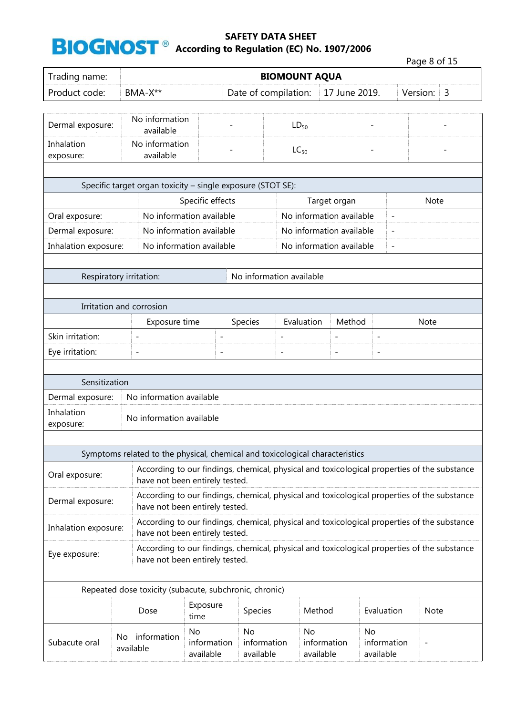|                         |                 |                             |                                                        |                                                                                             |                 |                          |                                | Page 8 of 15 |                |
|-------------------------|-----------------|-----------------------------|--------------------------------------------------------|---------------------------------------------------------------------------------------------|-----------------|--------------------------|--------------------------------|--------------|----------------|
| Trading name:           |                 | <b>BIOMOUNT AQUA</b>        |                                                        |                                                                                             |                 |                          |                                |              |                |
| Product code:           |                 | BMA-X**                     |                                                        | Date of compilation:                                                                        |                 | 17 June 2019.            |                                | Version:     | $\overline{3}$ |
|                         |                 |                             |                                                        |                                                                                             |                 |                          |                                |              |                |
| Dermal exposure:        |                 | No information<br>available |                                                        |                                                                                             | $LD_{50}$       |                          |                                |              |                |
| Inhalation<br>exposure: |                 | No information<br>available |                                                        |                                                                                             | $LC_{50}$       |                          |                                |              |                |
|                         |                 |                             |                                                        |                                                                                             |                 |                          |                                |              |                |
|                         |                 |                             |                                                        | Specific target organ toxicity - single exposure (STOT SE):                                 |                 |                          |                                |              |                |
|                         |                 |                             | Specific effects                                       |                                                                                             |                 | Target organ             |                                | <b>Note</b>  |                |
| Oral exposure:          |                 |                             | No information available                               |                                                                                             |                 | No information available |                                |              |                |
| Dermal exposure:        |                 |                             | No information available                               |                                                                                             |                 | No information available | $\overline{\phantom{a}}$       |              |                |
| Inhalation exposure:    |                 |                             | No information available                               |                                                                                             |                 | No information available | $\overline{\phantom{a}}$       |              |                |
|                         |                 |                             |                                                        |                                                                                             |                 |                          |                                |              |                |
| Respiratory irritation: |                 |                             |                                                        | No information available                                                                    |                 |                          |                                |              |                |
|                         |                 |                             |                                                        |                                                                                             |                 |                          |                                |              |                |
|                         |                 | Irritation and corrosion    |                                                        |                                                                                             |                 |                          |                                |              |                |
| Skin irritation:        |                 | Exposure time               |                                                        | Species                                                                                     | Evaluation      | Method                   |                                | Note         |                |
|                         |                 | $\overline{a}$              | $\overline{\phantom{a}}$<br>L,                         |                                                                                             |                 | $\overline{a}$           | $\overline{\phantom{a}}$       |              |                |
| Eye irritation:         |                 |                             |                                                        | $\overline{a}$                                                                              |                 |                          | $\overline{a}$                 |              |                |
| Sensitization           |                 |                             |                                                        |                                                                                             |                 |                          |                                |              |                |
| Dermal exposure:        |                 | No information available    |                                                        |                                                                                             |                 |                          |                                |              |                |
| Inhalation<br>exposure: |                 | No information available    |                                                        |                                                                                             |                 |                          |                                |              |                |
|                         |                 |                             |                                                        |                                                                                             |                 |                          |                                |              |                |
|                         |                 |                             |                                                        | Symptoms related to the physical, chemical and toxicological characteristics                |                 |                          |                                |              |                |
| Oral exposure:          |                 |                             | have not been entirely tested.                         | According to our findings, chemical, physical and toxicological properties of the substance |                 |                          |                                |              |                |
| Dermal exposure:        |                 |                             | have not been entirely tested.                         | According to our findings, chemical, physical and toxicological properties of the substance |                 |                          |                                |              |                |
| Inhalation exposure:    |                 |                             | have not been entirely tested.                         | According to our findings, chemical, physical and toxicological properties of the substance |                 |                          |                                |              |                |
| Eye exposure:           |                 |                             | have not been entirely tested.                         | According to our findings, chemical, physical and toxicological properties of the substance |                 |                          |                                |              |                |
|                         |                 |                             |                                                        |                                                                                             |                 |                          |                                |              |                |
|                         |                 |                             | Repeated dose toxicity (subacute, subchronic, chronic) |                                                                                             |                 |                          |                                |              |                |
|                         |                 | Dose                        | Exposure<br>time                                       | Species                                                                                     | Method          |                          | Evaluation                     | <b>Note</b>  |                |
| Subacute oral           | No<br>available | information                 | No<br>information<br>available                         | <b>No</b><br>information<br>available                                                       | No<br>available | information              | No<br>information<br>available |              |                |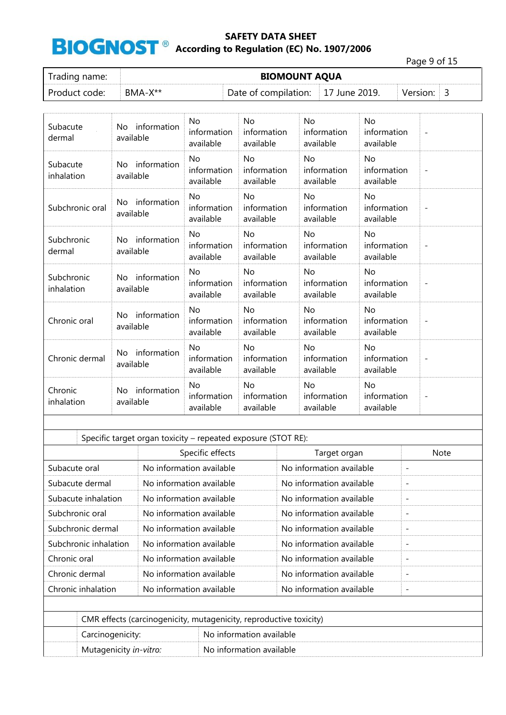Page 9 of 15

| Trading name: | <b>BIOMOUNT AQUA</b> |                                    |  |          |  |  |
|---------------|----------------------|------------------------------------|--|----------|--|--|
| Product code: | $BMA-X**$            | Date of compilation: 17 June 2019. |  | Version: |  |  |

| Subacute<br>dermal       | No information<br>available     | No.<br>information<br>available       | No<br>information<br>available        | No<br>information<br>available        | No<br>information<br>available        | $\overline{\phantom{a}}$ |
|--------------------------|---------------------------------|---------------------------------------|---------------------------------------|---------------------------------------|---------------------------------------|--------------------------|
| Subacute<br>inhalation   | No information<br>available     | <b>No</b><br>information<br>available | <b>No</b><br>information<br>available | <b>No</b><br>information<br>available | <b>No</b><br>information<br>available | $\overline{\phantom{a}}$ |
| Subchronic oral          | information<br>No.<br>available | <b>No</b><br>information<br>available | <b>No</b><br>information<br>available | <b>No</b><br>information<br>available | <b>No</b><br>information<br>available |                          |
| Subchronic<br>dermal     | No information<br>available     | <b>No</b><br>information<br>available | <b>No</b><br>information<br>available | <b>No</b><br>information<br>available | <b>No</b><br>information<br>available |                          |
| Subchronic<br>inhalation | information<br>No.<br>available | No<br>information<br>available        | No<br>information<br>available        | No<br>information<br>available        | No<br>information<br>available        | $\overline{\phantom{a}}$ |
| Chronic oral             | information<br>No.<br>available | <b>No</b><br>information<br>available | <b>No</b><br>information<br>available | <b>No</b><br>information<br>available | <b>No</b><br>information<br>available |                          |
| Chronic dermal           | No information<br>available     | <b>No</b><br>information<br>available | <b>No</b><br>information<br>available | <b>No</b><br>information<br>available | <b>No</b><br>information<br>available | $\overline{\phantom{a}}$ |
| Chronic<br>inhalation    | No information<br>available     | <b>No</b><br>information<br>available | <b>No</b><br>information<br>available | <b>No</b><br>information<br>available | <b>No</b><br>information<br>available | $\overline{\phantom{a}}$ |

|                                  | Specific target organ toxicity – repeated exposure (STOT RE):      |                          |                          |                          |                          |  |  |
|----------------------------------|--------------------------------------------------------------------|--------------------------|--------------------------|--------------------------|--------------------------|--|--|
| Specific effects<br>Target organ |                                                                    |                          |                          |                          |                          |  |  |
| Subacute oral                    |                                                                    | No information available |                          | No information available | $\overline{\phantom{a}}$ |  |  |
| Subacute dermal                  |                                                                    | No information available |                          | No information available | $\overline{\phantom{a}}$ |  |  |
|                                  | Subacute inhalation                                                | No information available |                          | No information available | $\overline{\phantom{a}}$ |  |  |
| Subchronic oral                  |                                                                    | No information available |                          | No information available |                          |  |  |
| Subchronic dermal                |                                                                    | No information available |                          | No information available | $\overline{\phantom{a}}$ |  |  |
| Subchronic inhalation            |                                                                    | No information available |                          | No information available |                          |  |  |
| Chronic oral                     |                                                                    | No information available |                          | No information available | $\overline{\phantom{a}}$ |  |  |
| Chronic dermal                   |                                                                    | No information available |                          | No information available |                          |  |  |
|                                  | Chronic inhalation                                                 | No information available |                          | No information available | $\overline{\phantom{a}}$ |  |  |
|                                  |                                                                    |                          |                          |                          |                          |  |  |
|                                  | CMR effects (carcinogenicity, mutagenicity, reproductive toxicity) |                          |                          |                          |                          |  |  |
|                                  | Carcinogenicity:                                                   |                          | No information available |                          |                          |  |  |
|                                  | Mutagenicity in-vitro:                                             |                          | No information available |                          |                          |  |  |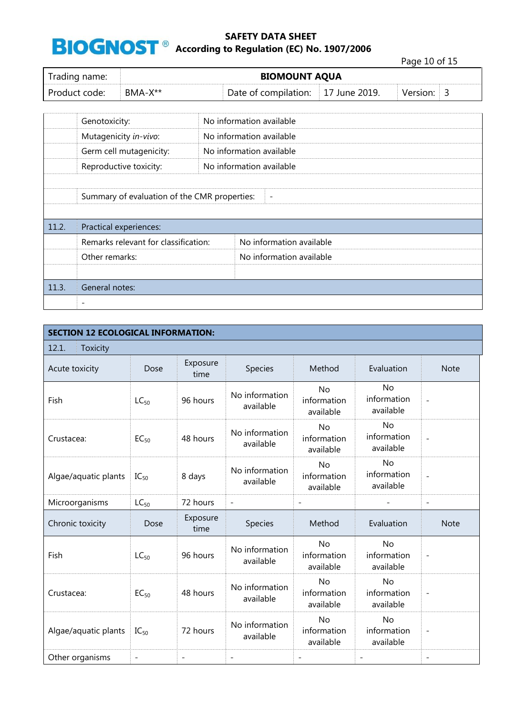#### **8 According to Regulation (EC) No. 1907/2006**

Page 10 of 15

| Trading name: | <b>BIOMOUNT AQUA</b> |                                    |  |          |  |  |  |
|---------------|----------------------|------------------------------------|--|----------|--|--|--|
| Product code: | $BMA-X^{**}$         | Date of compilation: 17 June 2019. |  | Version: |  |  |  |

|       | Genotoxicity:                                                            |  | No information available |  |  |  |  |  |
|-------|--------------------------------------------------------------------------|--|--------------------------|--|--|--|--|--|
|       | Mutagenicity in-vivo:                                                    |  | No information available |  |  |  |  |  |
|       | Germ cell mutagenicity:                                                  |  | No information available |  |  |  |  |  |
|       | Reproductive toxicity:                                                   |  | No information available |  |  |  |  |  |
|       |                                                                          |  |                          |  |  |  |  |  |
|       | Summary of evaluation of the CMR properties:<br>$\overline{\phantom{a}}$ |  |                          |  |  |  |  |  |
|       |                                                                          |  |                          |  |  |  |  |  |
| 11.2. | Practical experiences:                                                   |  |                          |  |  |  |  |  |
|       | Remarks relevant for classification:                                     |  | No information available |  |  |  |  |  |
|       | Other remarks:                                                           |  | No information available |  |  |  |  |  |
|       |                                                                          |  |                          |  |  |  |  |  |
| 11.3. | General notes:                                                           |  |                          |  |  |  |  |  |
|       | $\overline{\phantom{a}}$                                                 |  |                          |  |  |  |  |  |

| <b>SECTION 12 ECOLOGICAL INFORMATION:</b> |           |                   |                             |                                       |                                       |                          |  |  |
|-------------------------------------------|-----------|-------------------|-----------------------------|---------------------------------------|---------------------------------------|--------------------------|--|--|
| 12.1.<br><b>Toxicity</b>                  |           |                   |                             |                                       |                                       |                          |  |  |
| Acute toxicity                            | Dose      | Exposure<br>time  | Species                     | Method                                | Evaluation                            | <b>Note</b>              |  |  |
| Fish                                      | $LC_{50}$ | 96 hours          | No information<br>available | <b>No</b><br>information<br>available | No<br>information<br>available        | $\overline{a}$           |  |  |
| Crustacea:                                | $EC_{50}$ | 48 hours          | No information<br>available | <b>No</b><br>information<br>available | <b>No</b><br>information<br>available | $\overline{\phantom{a}}$ |  |  |
| Algae/aquatic plants                      | $IC_{50}$ | 8 days            | No information<br>available | <b>No</b><br>information<br>available | <b>No</b><br>information<br>available | $\overline{a}$           |  |  |
| Microorganisms                            | $LC_{50}$ | 72 hours          | $\overline{\phantom{a}}$    | $\frac{1}{2}$                         |                                       | $\overline{\phantom{a}}$ |  |  |
| Chronic toxicity                          | Dose      | Exposure<br>time  | Species                     | Method                                | Evaluation                            | <b>Note</b>              |  |  |
| Fish                                      | $LC_{50}$ | 96 hours          | No information<br>available | <b>No</b><br>information<br>available | <b>No</b><br>information<br>available | $\overline{\phantom{a}}$ |  |  |
| Crustacea:                                | $EC_{50}$ | 48 hours          | No information<br>available | <b>No</b><br>information<br>available | <b>No</b><br>information<br>available | $\overline{\phantom{0}}$ |  |  |
| Algae/aquatic plants                      | $IC_{50}$ | 72 hours          | No information<br>available | <b>No</b><br>information<br>available | No<br>information<br>available        | $\overline{a}$           |  |  |
| Other organisms                           |           | $\qquad \qquad -$ |                             |                                       |                                       |                          |  |  |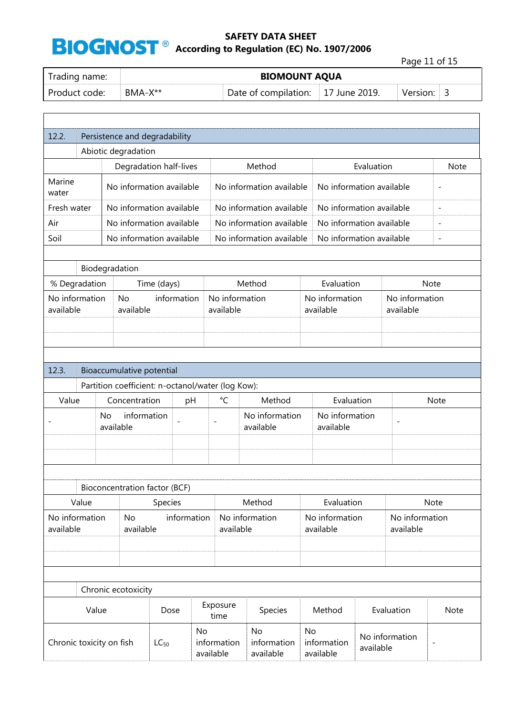Page 11 of 15

| Trading name: | <b>BIOMOUNT AQUA</b> |                                    |  |          |  |  |  |
|---------------|----------------------|------------------------------------|--|----------|--|--|--|
| Product code: | BMA-X**              | Date of compilation: 17 June 2019. |  | Version: |  |  |  |

| 12.2.                       | Persistence and degradability |                        |                                                   |             |                 |                             |                                |    |                                       |            |                             |                          |
|-----------------------------|-------------------------------|------------------------|---------------------------------------------------|-------------|-----------------|-----------------------------|--------------------------------|----|---------------------------------------|------------|-----------------------------|--------------------------|
|                             | Abiotic degradation           |                        |                                                   |             |                 |                             |                                |    |                                       |            |                             |                          |
|                             |                               |                        | Degradation half-lives                            |             |                 |                             | Method                         |    |                                       | Evaluation |                             | <b>Note</b>              |
| Marine<br>water             |                               |                        | No information available                          |             |                 |                             | No information available       |    | No information available              |            |                             | $\overline{\phantom{m}}$ |
| Fresh water                 |                               |                        | No information available                          |             |                 |                             | No information available       |    | No information available              |            |                             | $\overline{a}$           |
| Air                         |                               |                        | No information available                          |             |                 |                             | No information available       |    | No information available              |            |                             | $\overline{\phantom{0}}$ |
| Soil                        |                               |                        | No information available                          |             |                 |                             | No information available       |    | No information available              |            |                             | $\overline{a}$           |
|                             |                               |                        |                                                   |             |                 |                             |                                |    |                                       |            |                             |                          |
|                             | Biodegradation                |                        |                                                   |             |                 |                             |                                |    |                                       |            |                             |                          |
|                             | % Degradation                 |                        | Time (days)                                       |             |                 |                             | Method                         |    | Evaluation                            |            |                             | <b>Note</b>              |
| No information<br>available |                               |                        | <b>No</b><br>available                            | information |                 | No information<br>available |                                |    | No information<br>available           |            | No information<br>available |                          |
|                             |                               |                        |                                                   |             |                 |                             |                                |    |                                       |            |                             |                          |
|                             |                               |                        |                                                   |             |                 |                             |                                |    |                                       |            |                             |                          |
|                             |                               |                        |                                                   |             |                 |                             |                                |    |                                       |            |                             |                          |
| 12.3.                       |                               |                        | Bioaccumulative potential                         |             |                 |                             |                                |    |                                       |            |                             |                          |
|                             |                               |                        | Partition coefficient: n-octanol/water (log Kow): |             |                 |                             |                                |    |                                       |            |                             |                          |
| Value                       |                               |                        | Concentration                                     | pH          |                 | $^{\circ}$ C                | Method                         |    | Evaluation                            |            |                             | <b>Note</b>              |
|                             |                               | <b>No</b><br>available | information                                       |             |                 | No information<br>available |                                |    | No information<br>available           |            | $\overline{\phantom{a}}$    |                          |
|                             |                               |                        |                                                   |             |                 |                             |                                |    |                                       |            |                             |                          |
|                             |                               |                        |                                                   |             |                 |                             |                                |    |                                       |            |                             |                          |
|                             |                               |                        | Bioconcentration factor (BCF)                     |             |                 |                             |                                |    |                                       |            |                             |                          |
|                             | Value                         |                        |                                                   | Species     |                 |                             | Method                         |    | Evaluation                            |            |                             | Note                     |
| No information<br>available |                               |                        | No<br>available                                   | information |                 | available                   | No information                 |    | No information<br>available           |            | No information<br>available |                          |
|                             |                               |                        |                                                   |             |                 |                             |                                |    |                                       |            |                             |                          |
|                             |                               |                        |                                                   |             |                 |                             |                                |    |                                       |            |                             |                          |
|                             |                               |                        |                                                   |             |                 |                             |                                |    |                                       |            |                             |                          |
|                             |                               |                        | Chronic ecotoxicity                               |             |                 |                             |                                |    |                                       |            |                             |                          |
|                             | Value                         |                        |                                                   | Dose        |                 | Exposure<br>time            | Species                        |    | Method                                |            | Evaluation                  | Note                     |
| Chronic toxicity on fish    |                               |                        | $LC_{50}$                                         |             | No<br>available | information                 | No<br>information<br>available | No | information<br>available<br>available |            | No information              | $\qquad \qquad -$        |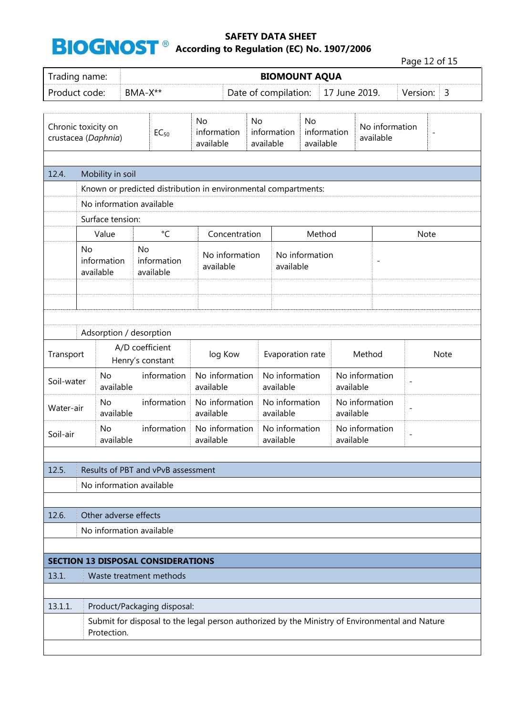Page 12 of 15

| $1.49c + 1.4c$<br><b>BIOMOUNT AQUA</b><br>Trading name: |                                                                |                          |                                |                                           |                             |                                                                   |                             |                                          |                                                         |                |                          |                                                                                                |      |
|---------------------------------------------------------|----------------------------------------------------------------|--------------------------|--------------------------------|-------------------------------------------|-----------------------------|-------------------------------------------------------------------|-----------------------------|------------------------------------------|---------------------------------------------------------|----------------|--------------------------|------------------------------------------------------------------------------------------------|------|
| Product code:                                           |                                                                |                          | BMA-X**                        |                                           |                             | Date of compilation:<br>17 June 2019.<br>Version:                 |                             |                                          |                                                         |                |                          | 3                                                                                              |      |
|                                                         |                                                                |                          |                                |                                           |                             |                                                                   |                             |                                          |                                                         |                |                          |                                                                                                |      |
| Chronic toxicity on<br>$EC_{50}$<br>crustacea (Daphnia) |                                                                |                          | No<br>information<br>available |                                           | <b>No</b>                   | <b>No</b><br>information<br>information<br>available<br>available |                             |                                          | No information<br>$\overline{\phantom{0}}$<br>available |                |                          |                                                                                                |      |
| 12.4.                                                   | Mobility in soil                                               |                          |                                |                                           |                             |                                                                   |                             |                                          |                                                         |                |                          |                                                                                                |      |
|                                                         | Known or predicted distribution in environmental compartments: |                          |                                |                                           |                             |                                                                   |                             |                                          |                                                         |                |                          |                                                                                                |      |
|                                                         |                                                                |                          | No information available       |                                           |                             |                                                                   |                             |                                          |                                                         |                |                          |                                                                                                |      |
|                                                         |                                                                | Surface tension:         |                                |                                           |                             |                                                                   |                             |                                          |                                                         |                |                          |                                                                                                |      |
|                                                         |                                                                | Value                    |                                | $^{\circ}$ C                              |                             | Concentration                                                     |                             |                                          | Method                                                  |                |                          | Note                                                                                           |      |
|                                                         | <b>No</b>                                                      | information<br>available | <b>No</b>                      | information<br>available                  | available                   | No information                                                    |                             | available                                | No information                                          |                |                          |                                                                                                |      |
|                                                         |                                                                |                          |                                |                                           |                             |                                                                   |                             |                                          |                                                         |                |                          |                                                                                                |      |
|                                                         |                                                                |                          | Adsorption / desorption        |                                           |                             |                                                                   |                             |                                          |                                                         |                |                          |                                                                                                |      |
| Transport                                               |                                                                |                          | A/D coefficient                | Henry's constant                          | log Kow                     |                                                                   |                             | Evaporation rate                         |                                                         |                | Method                   |                                                                                                | Note |
| Soil-water                                              |                                                                | No<br>available          |                                | information                               | available                   | No information                                                    | No information<br>available |                                          |                                                         | available      | No information           | $\overline{\phantom{0}}$                                                                       |      |
| Water-air                                               |                                                                | No<br>available          |                                | information                               |                             | No information<br>available<br>available                          |                             | No information                           | No information<br>available                             |                |                          | $\qquad \qquad -$                                                                              |      |
| Soil-air                                                |                                                                | No<br>available          |                                | information                               | No information<br>available |                                                                   |                             | No information<br>available<br>available |                                                         | No information | $\overline{\phantom{a}}$ |                                                                                                |      |
| 12.5.                                                   |                                                                |                          |                                | Results of PBT and vPvB assessment        |                             |                                                                   |                             |                                          |                                                         |                |                          |                                                                                                |      |
|                                                         |                                                                |                          | No information available       |                                           |                             |                                                                   |                             |                                          |                                                         |                |                          |                                                                                                |      |
|                                                         |                                                                |                          |                                |                                           |                             |                                                                   |                             |                                          |                                                         |                |                          |                                                                                                |      |
| 12.6.                                                   |                                                                |                          | Other adverse effects          |                                           |                             |                                                                   |                             |                                          |                                                         |                |                          |                                                                                                |      |
|                                                         |                                                                |                          | No information available       |                                           |                             |                                                                   |                             |                                          |                                                         |                |                          |                                                                                                |      |
|                                                         |                                                                |                          |                                |                                           |                             |                                                                   |                             |                                          |                                                         |                |                          |                                                                                                |      |
|                                                         |                                                                |                          |                                | <b>SECTION 13 DISPOSAL CONSIDERATIONS</b> |                             |                                                                   |                             |                                          |                                                         |                |                          |                                                                                                |      |
| 13.1.                                                   |                                                                |                          |                                | Waste treatment methods                   |                             |                                                                   |                             |                                          |                                                         |                |                          |                                                                                                |      |
| 13.1.1.                                                 |                                                                |                          |                                | Product/Packaging disposal:               |                             |                                                                   |                             |                                          |                                                         |                |                          |                                                                                                |      |
|                                                         |                                                                | Protection.              |                                |                                           |                             |                                                                   |                             |                                          |                                                         |                |                          | Submit for disposal to the legal person authorized by the Ministry of Environmental and Nature |      |
|                                                         |                                                                |                          |                                |                                           |                             |                                                                   |                             |                                          |                                                         |                |                          |                                                                                                |      |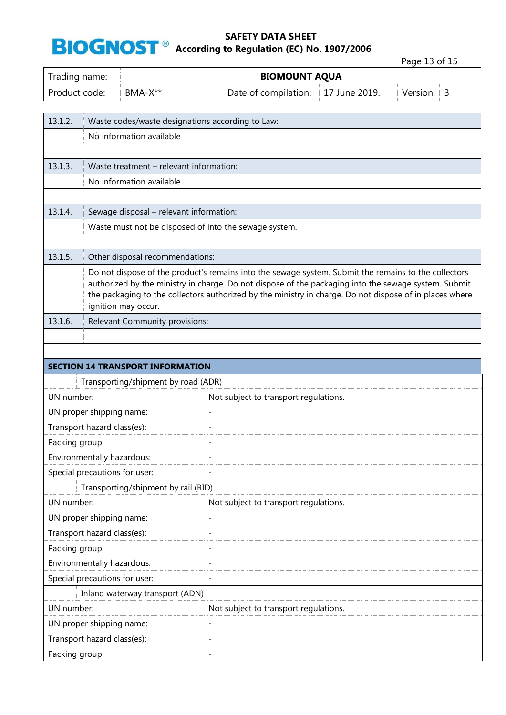**BIOGNOST**<sup>®</sup> According to Regulation (EC) No. 1907/2006

Page 13 of 15 Trading name: **BIOMOUNT AQUA** Product code: BMA-X<sup>\*\*</sup> Date of compilation: 17 June 2019. Version: 3 13.1.2. Waste codes/waste designations according to Law: No information available 13.1.3. Waste treatment – relevant information: No information available 13.1.4. Sewage disposal – relevant information: Waste must not be disposed of into the sewage system. 13.1.5. Other disposal recommendations: Do not dispose of the product's remains into the sewage system. Submit the remains to the collectors authorized by the ministry in charge. Do not dispose of the packaging into the sewage system. Submit the packaging to the collectors authorized by the ministry in charge. Do not dispose of in places where ignition may occur. 13.1.6. Relevant Community provisions: - **SECTION 14 TRANSPORT INFORMATION** Transporting/shipment by road (ADR) UN number: Not subject to transport regulations. UN proper shipping name: Transport hazard class(es): Packing group:  $\qquad \qquad \qquad$ Environmentally hazardous: Special precautions for user: Transporting/shipment by rail (RID) UN number:  $\blacksquare$  Not subject to transport regulations. UN proper shipping name: Transport hazard class(es): Packing group:  $\qquad \qquad$ Environmentally hazardous: - Special precautions for user: Inland waterway transport (ADN) UN number:  $\blacksquare$  Not subject to transport regulations. UN proper shipping name: Transport hazard class(es): - Packing group:  $\qquad \qquad \qquad \qquad \qquad \text{-}$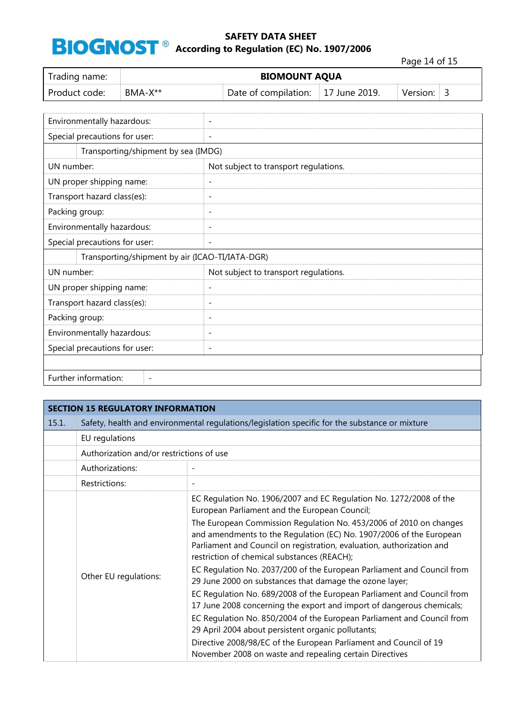**8 According to Regulation (EC) No. 1907/2006** 

Page 14 of 15

h

| Trading name:                                    | <b>BIOMOUNT AQUA</b> |                                                 |                                       |                                       |               |          |                |  |
|--------------------------------------------------|----------------------|-------------------------------------------------|---------------------------------------|---------------------------------------|---------------|----------|----------------|--|
| Product code:                                    | BMA-X**              |                                                 |                                       | Date of compilation:                  | 17 June 2019. | Version: | $\overline{3}$ |  |
|                                                  |                      |                                                 |                                       |                                       |               |          |                |  |
| Environmentally hazardous:                       |                      |                                                 | $\overline{\phantom{a}}$              |                                       |               |          |                |  |
| Special precautions for user:                    |                      |                                                 | $\overline{\phantom{a}}$              |                                       |               |          |                |  |
|                                                  |                      | Transporting/shipment by sea (IMDG)             |                                       |                                       |               |          |                |  |
| UN number:                                       |                      |                                                 |                                       | Not subject to transport regulations. |               |          |                |  |
| UN proper shipping name:                         |                      |                                                 | $\overline{\phantom{a}}$              |                                       |               |          |                |  |
| Transport hazard class(es):                      |                      |                                                 | $\overline{\phantom{a}}$              |                                       |               |          |                |  |
| Packing group:                                   |                      |                                                 | $\overline{\phantom{a}}$              |                                       |               |          |                |  |
| Environmentally hazardous:                       |                      |                                                 | $\overline{\phantom{0}}$              |                                       |               |          |                |  |
| Special precautions for user:                    |                      |                                                 | $\overline{\phantom{a}}$              |                                       |               |          |                |  |
|                                                  |                      | Transporting/shipment by air (ICAO-TI/IATA-DGR) |                                       |                                       |               |          |                |  |
| UN number:                                       |                      |                                                 | Not subject to transport regulations. |                                       |               |          |                |  |
| UN proper shipping name:                         |                      |                                                 | $\overline{\phantom{a}}$              |                                       |               |          |                |  |
| Transport hazard class(es):                      |                      |                                                 | $\overline{\phantom{a}}$              |                                       |               |          |                |  |
| Packing group:                                   |                      |                                                 | $\overline{\phantom{0}}$              |                                       |               |          |                |  |
| Environmentally hazardous:                       |                      |                                                 | $\overline{\phantom{a}}$              |                                       |               |          |                |  |
| Special precautions for user:                    |                      |                                                 | $\overline{\phantom{a}}$              |                                       |               |          |                |  |
|                                                  |                      |                                                 |                                       |                                       |               |          |                |  |
| Further information:<br>$\overline{\phantom{a}}$ |                      |                                                 |                                       |                                       |               |          |                |  |

|       | <b>SECTION 15 REGULATORY INFORMATION</b> |                                                                                                                                                                                                                                                                   |  |  |  |  |  |  |
|-------|------------------------------------------|-------------------------------------------------------------------------------------------------------------------------------------------------------------------------------------------------------------------------------------------------------------------|--|--|--|--|--|--|
| 15.1. |                                          | Safety, health and environmental regulations/legislation specific for the substance or mixture                                                                                                                                                                    |  |  |  |  |  |  |
|       | EU regulations                           |                                                                                                                                                                                                                                                                   |  |  |  |  |  |  |
|       | Authorization and/or restrictions of use |                                                                                                                                                                                                                                                                   |  |  |  |  |  |  |
|       | Authorizations:                          |                                                                                                                                                                                                                                                                   |  |  |  |  |  |  |
|       | Restrictions:                            |                                                                                                                                                                                                                                                                   |  |  |  |  |  |  |
|       |                                          | EC Regulation No. 1906/2007 and EC Regulation No. 1272/2008 of the<br>European Parliament and the European Council;                                                                                                                                               |  |  |  |  |  |  |
|       |                                          | The European Commission Regulation No. 453/2006 of 2010 on changes<br>and amendments to the Regulation (EC) No. 1907/2006 of the European<br>Parliament and Council on registration, evaluation, authorization and<br>restriction of chemical substances (REACH); |  |  |  |  |  |  |
|       | Other EU regulations:                    | EC Regulation No. 2037/200 of the European Parliament and Council from<br>29 June 2000 on substances that damage the ozone layer;                                                                                                                                 |  |  |  |  |  |  |
|       |                                          | EC Regulation No. 689/2008 of the European Parliament and Council from<br>17 June 2008 concerning the export and import of dangerous chemicals;                                                                                                                   |  |  |  |  |  |  |
|       |                                          | EC Regulation No. 850/2004 of the European Parliament and Council from<br>29 April 2004 about persistent organic pollutants;                                                                                                                                      |  |  |  |  |  |  |
|       |                                          | Directive 2008/98/EC of the European Parliament and Council of 19<br>November 2008 on waste and repealing certain Directives                                                                                                                                      |  |  |  |  |  |  |